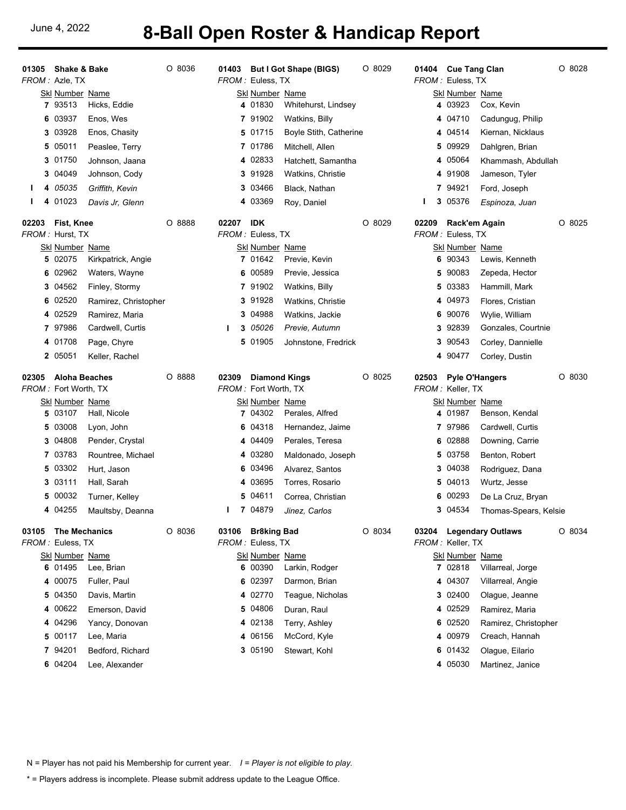## June 4, 2022 **8-Ball Open Roster & Handicap Report**

|       | 01305 Shake & Bake<br>FROM: Azle, TX |                                        | O 8036 |
|-------|--------------------------------------|----------------------------------------|--------|
|       | <b>Skl Number Name</b>               |                                        |        |
|       |                                      | 7 93513 Hicks, Eddie                   |        |
|       | 6 03937                              | Enos, Wes                              |        |
|       |                                      | 3 03928 Enos, Chasity                  |        |
|       | 5 05011                              | Peaslee, Terry                         |        |
|       | 3 01750                              | Johnson, Jaana                         |        |
|       | 3 04049                              | Johnson, Cody                          |        |
| ı     | 4 05035                              | Griffith, Kevin                        |        |
| L.    | 4 01023                              | Davis Jr, Glenn                        |        |
|       | 02203 Fist, Knee                     |                                        | O 8888 |
|       | FROM: Hurst, TX                      |                                        |        |
|       | Skl Number Name<br>5 02075           |                                        |        |
|       | 6 02962                              | Kirkpatrick, Angie<br>Waters, Wayne    |        |
|       |                                      | 3 04562 Finley, Stormy                 |        |
|       | 6 02520                              |                                        |        |
|       | 4 02529                              | Ramirez, Christopher<br>Ramirez, Maria |        |
|       | 797986                               | Cardwell, Curtis                       |        |
|       | 4 01708                              | Page, Chyre                            |        |
|       | 2 05051                              | Keller, Rachel                         |        |
|       |                                      |                                        |        |
|       |                                      |                                        |        |
| 02305 | Aloha Beaches                        |                                        | O 8888 |
|       | FROM: Fort Worth, TX                 |                                        |        |
|       | <b>Skl Number Name</b><br>5 03107    | Hall, Nicole                           |        |
|       |                                      | 5 03008 Lyon, John                     |        |
|       | 3 04808                              | Pender, Crystal                        |        |
|       | 7 03783                              | Rountree, Michael                      |        |
|       | 5 03302                              | Hurt, Jason                            |        |
|       | 3 03111                              | Hall, Sarah                            |        |
|       | 5 00032                              | Turner, Kelley                         |        |
|       | 4 04255                              | Maultsby, Deanna                       |        |
| 03105 | <b>The Mechanics</b>                 |                                        | O 8036 |
|       | <i>FROM :</i> Euless, TX             |                                        |        |
|       | Skl Number Name                      |                                        |        |
|       | 6 01495                              | Lee, Brian                             |        |
|       | 4 00075                              | Fuller, Paul                           |        |
| 5     | 04350                                | Davis, Martin                          |        |
|       | 4 00622                              | Emerson, David                         |        |
|       | 4 04296                              | Yancy, Donovan                         |        |
| 5     | 00117                                | Lee, Maria                             |        |
|       | 7 94201<br>6 04204                   | Bedford, Richard<br>Lee, Alexander     |        |

|        |   | FROM: Euless, TX         | 01403 But I Got Shape (BIGS)   | O 8029 |
|--------|---|--------------------------|--------------------------------|--------|
|        |   | Skl Number Name          | 4 01830 Whitehurst, Lindsey    |        |
|        |   | 7 91902                  | Watkins, Billy                 |        |
|        |   |                          | 5 01715 Boyle Stith, Catherine |        |
|        |   | 7 01786                  | Mitchell, Allen                |        |
|        |   |                          | 4 02833 Hatchett, Samantha     |        |
|        |   | 3 91928                  | Watkins, Christie              |        |
|        |   | 3 03466                  | Black, Nathan                  |        |
|        |   | 4 03369                  | Roy, Daniel                    |        |
| 02207  |   | IDK                      |                                | O 8029 |
|        |   | <i>FROM :</i> Euless, TX |                                |        |
|        |   | <u>Skl Number_Name</u>   |                                |        |
|        |   |                          | 7 01642 Previe, Kevin          |        |
|        |   |                          | 6 00589 Previe, Jessica        |        |
|        |   | 7 91902                  | Watkins, Billy                 |        |
|        |   | 3 91928                  | <b>Watkins, Christie</b>       |        |
|        |   |                          | 3 04988 Watkins, Jackie        |        |
| L      |   |                          | <b>3</b> 05026 Previe, Autumn  |        |
|        |   | 5 01905                  | Johnstone, Fredrick            |        |
|        |   |                          |                                |        |
| 02309  |   | <b>Diamond Kings</b>     |                                | O 8025 |
|        |   | FROM: Fort Worth, TX     |                                |        |
|        |   | Skl Number Name          |                                |        |
|        |   |                          | 7 04302 Perales, Alfred        |        |
|        |   |                          | 6 04318 Hernandez, Jaime       |        |
|        |   | 4 04409                  | Perales, Teresa                |        |
|        |   | 4 03280                  | Maldonado, Joseph              |        |
|        |   | 6 03496                  | Alvarez, Santos                |        |
|        |   | 4 03695                  | Torres, Rosario                |        |
|        |   | 5 04611                  | Correa, Christian              |        |
| ı      |   | 7 04879                  | Jinez, Carlos                  |        |
| 03106  |   | Br8king Bad              |                                | O 8034 |
| FROM : |   | Euless, TX               |                                |        |
|        |   | <u>Skl Number_Name</u>   |                                |        |
|        | 6 | 00390                    | Larkin, Rodger                 |        |
|        | 6 | 02397                    | Darmon, Brian                  |        |
|        |   | 4 02770                  | Teague, Nicholas               |        |
|        | 5 | 04806                    | Duran, Raul                    |        |
|        |   | 4 02138                  | Terry, Ashley                  |        |
|        |   | 4 06156                  | McCord, Kyle                   |        |
|        | 3 | 05190                    | Stewart, Kohl                  |        |

|        | 01404 Cue Tang Clan      |                                        | O 8028 |
|--------|--------------------------|----------------------------------------|--------|
|        | <i>FROM :</i> Euless, TX |                                        |        |
|        | <u>Skl Number_Name</u>   | 4 03923 Cox, Kevin                     |        |
|        | 4 04710                  | Cadungug, Philip                       |        |
|        | 4 04514                  | Kiernan, Nicklaus                      |        |
|        | 5 09929                  | Dahlgren, Brian                        |        |
|        | 4 05064                  | Khammash, Abdullah                     |        |
|        | 491908                   | Jameson, Tyler                         |        |
|        | 7 94921                  | Ford, Joseph                           |        |
| ı      | 3 05376                  | Espinoza, Juan                         |        |
| 02209  | Rack'em Again            |                                        | O 8025 |
|        | <i>FROM :</i> Euless, TX |                                        |        |
|        | <u>Skl Number_Name</u>   |                                        |        |
|        |                          | 6 90343 Lewis, Kenneth                 |        |
|        | 5 90083                  | Zepeda, Hector                         |        |
|        | 5 03383                  | Hammill, Mark                          |        |
|        | 4 04973                  | Flores, Cristian                       |        |
| 6      | 90076                    | Wylie, William                         |        |
|        | 3 92839                  | Gonzales, Courtnie                     |        |
|        | 3 90543                  | Corley, Dannielle                      |        |
|        | 4 90477                  | Corley, Dustin                         |        |
|        |                          |                                        |        |
| 02503  | <b>Pyle O'Hangers</b>    |                                        | O 8030 |
|        | FROM: Keller, TX         |                                        |        |
|        | Skl Number Name          |                                        |        |
|        |                          | 4 01987 Benson, Kendal                 |        |
|        | 797986                   | Cardwell, Curtis                       |        |
|        | 6 02888                  | Downing, Carrie                        |        |
|        | 5 03758                  | Benton, Robert                         |        |
|        | 3 04038                  | Rodriguez, Dana                        |        |
|        | 5 04013                  | Wurtz, Jesse                           |        |
|        | 6 00293                  | De La Cruz, Bryan                      |        |
|        | 3 04534                  | Thomas-Spears, Kelsie                  |        |
| 03204  |                          | <b>Legendary Outlaws</b>               | O 8034 |
| FROM : | Keller, TX               |                                        |        |
|        | <u>Skl Number_Name</u>   |                                        |        |
|        | 7 02818                  | Villarreal, Jorge                      |        |
|        | 4 04307                  | Villarreal, Angie                      |        |
|        | 3 02400<br>4 02529       | Olague, Jeanne                         |        |
|        | 6 02520                  | Ramirez, Maria                         |        |
|        | 4 00979                  | Ramirez, Christopher<br>Creach, Hannah |        |
| 6      | 01432                    | Olague, Eilario                        |        |

N = Player has not paid his Membership for current year. *I = Player is not eligible to play.*

\* = Players address is incomplete. Please submit address update to the League Office.